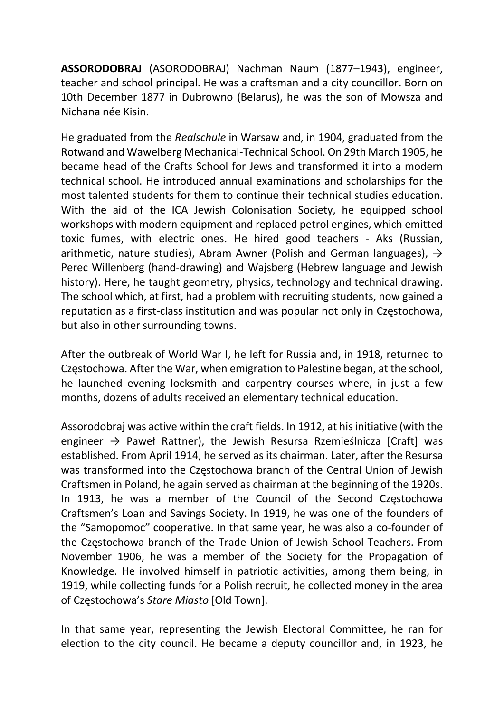ASSORODOBRAJ (ASORODOBRAJ) Nachman Naum (1877–1943), engineer, teacher and school principal. He was a craftsman and a city councillor. Born on 10th December 1877 in Dubrowno (Belarus), he was the son of Mowsza and Nichana née Kisin.

He graduated from the Realschule in Warsaw and, in 1904, graduated from the Rotwand and Wawelberg Mechanical-Technical School. On 29th March 1905, he became head of the Crafts School for Jews and transformed it into a modern technical school. He introduced annual examinations and scholarships for the most talented students for them to continue their technical studies education. With the aid of the ICA Jewish Colonisation Society, he equipped school workshops with modern equipment and replaced petrol engines, which emitted toxic fumes, with electric ones. He hired good teachers - Aks (Russian, arithmetic, nature studies), Abram Awner (Polish and German languages),  $\rightarrow$ Perec Willenberg (hand-drawing) and Wajsberg (Hebrew language and Jewish history). Here, he taught geometry, physics, technology and technical drawing. The school which, at first, had a problem with recruiting students, now gained a reputation as a first-class institution and was popular not only in Częstochowa, but also in other surrounding towns.

After the outbreak of World War I, he left for Russia and, in 1918, returned to Częstochowa. After the War, when emigration to Palestine began, at the school, he launched evening locksmith and carpentry courses where, in just a few months, dozens of adults received an elementary technical education.

Assorodobraj was active within the craft fields. In 1912, at his initiative (with the engineer  $\rightarrow$  Paweł Rattner), the Jewish Resursa Rzemieślnicza [Craft] was established. From April 1914, he served as its chairman. Later, after the Resursa was transformed into the Częstochowa branch of the Central Union of Jewish Craftsmen in Poland, he again served as chairman at the beginning of the 1920s. In 1913, he was a member of the Council of the Second Częstochowa Craftsmen's Loan and Savings Society. In 1919, he was one of the founders of the "Samopomoc" cooperative. In that same year, he was also a co-founder of the Częstochowa branch of the Trade Union of Jewish School Teachers. From November 1906, he was a member of the Society for the Propagation of Knowledge. He involved himself in patriotic activities, among them being, in 1919, while collecting funds for a Polish recruit, he collected money in the area of Częstochowa's Stare Miasto [Old Town].

In that same year, representing the Jewish Electoral Committee, he ran for election to the city council. He became a deputy councillor and, in 1923, he